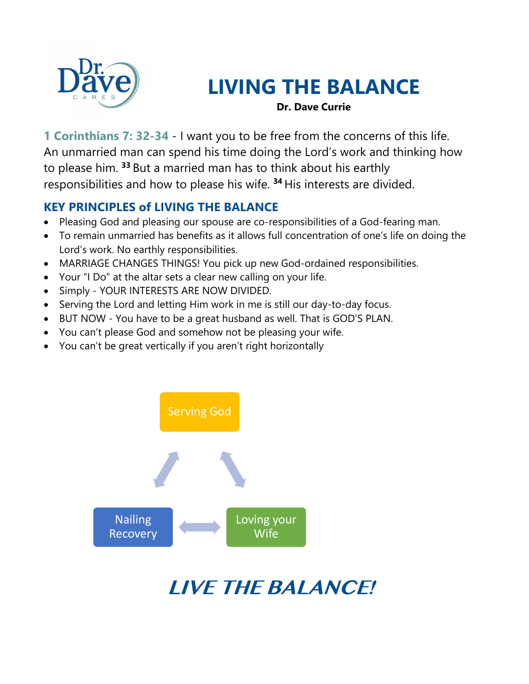

# **LIVING THE BALANCE**

**Dr. Dave Currie**

**1 Corinthians 7: 32-34** - I want you to be free from the concerns of this life. An unmarried man can spend his time doing the Lord's work and thinking how to please him. **<sup>33</sup>** But a married man has to think about his earthly responsibilities and how to please his wife. **<sup>34</sup>** His interests are divided.

#### **KEY PRINCIPLES of LIVING THE BALANCE**

- Pleasing God and pleasing our spouse are co-responsibilities of a God-fearing man.
- To remain unmarried has benefits as it allows full concentration of one's life on doing the Lord's work. No earthly responsibilities.
- MARRIAGE CHANGES THINGS! You pick up new God-ordained responsibilities.
- Your "I Do" at the altar sets a clear new calling on your life.
- Simply YOUR INTERESTS ARE NOW DIVIDED.
- Serving the Lord and letting Him work in me is still our day-to-day focus.
- BUT NOW You have to be a great husband as well. That is GOD'S PLAN.
- You can't please God and somehow not be pleasing your wife.
- You can't be great vertically if you aren't right horizontally



**LIVE THE BALANCE!**